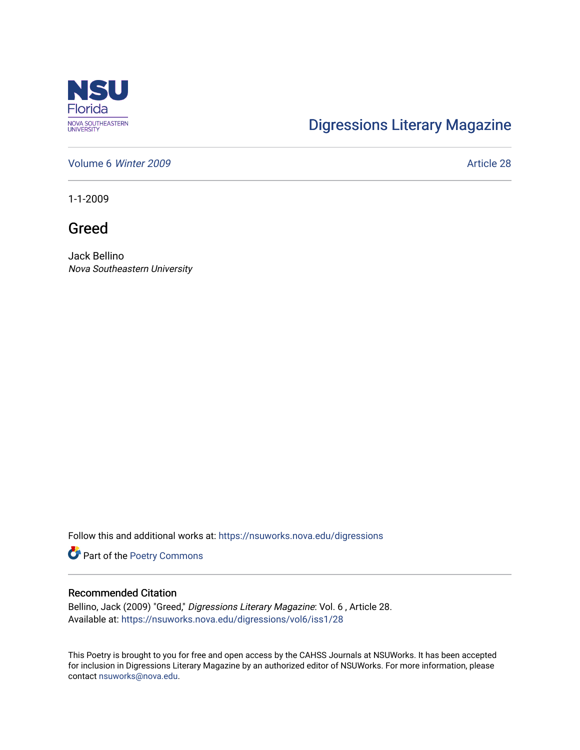

## [Digressions Literary Magazine](https://nsuworks.nova.edu/digressions)

[Volume 6](https://nsuworks.nova.edu/digressions/vol6) Winter 2009 **Article 28** 

1-1-2009

Greed

Jack Bellino Nova Southeastern University

Follow this and additional works at: [https://nsuworks.nova.edu/digressions](https://nsuworks.nova.edu/digressions?utm_source=nsuworks.nova.edu%2Fdigressions%2Fvol6%2Fiss1%2F28&utm_medium=PDF&utm_campaign=PDFCoverPages) 

Part of the [Poetry Commons](http://network.bepress.com/hgg/discipline/1153?utm_source=nsuworks.nova.edu%2Fdigressions%2Fvol6%2Fiss1%2F28&utm_medium=PDF&utm_campaign=PDFCoverPages) 

## Recommended Citation

Bellino, Jack (2009) "Greed," Digressions Literary Magazine: Vol. 6 , Article 28. Available at: [https://nsuworks.nova.edu/digressions/vol6/iss1/28](https://nsuworks.nova.edu/digressions/vol6/iss1/28?utm_source=nsuworks.nova.edu%2Fdigressions%2Fvol6%2Fiss1%2F28&utm_medium=PDF&utm_campaign=PDFCoverPages) 

This Poetry is brought to you for free and open access by the CAHSS Journals at NSUWorks. It has been accepted for inclusion in Digressions Literary Magazine by an authorized editor of NSUWorks. For more information, please contact [nsuworks@nova.edu.](mailto:nsuworks@nova.edu)